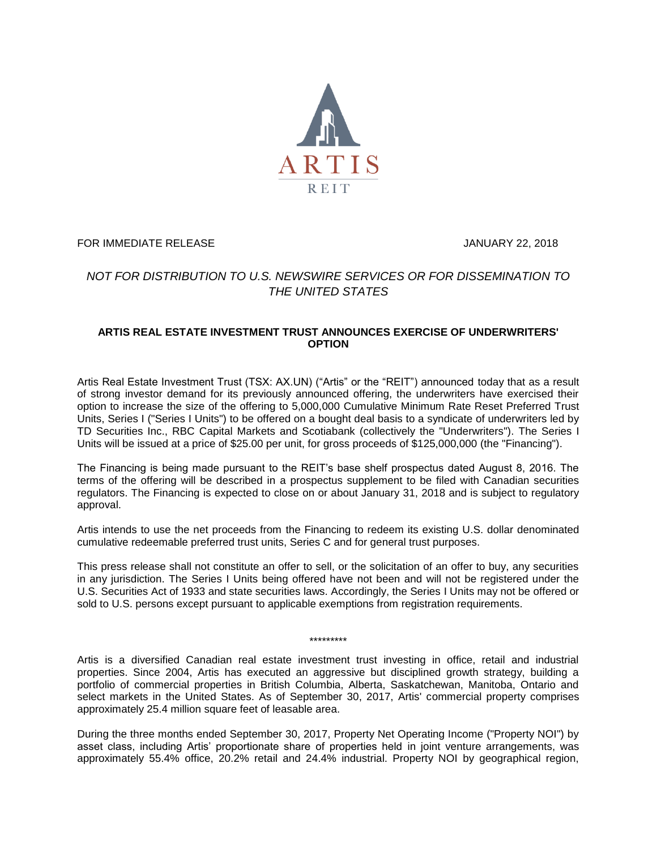

FOR IMMEDIATE RELEASE **FOR IMMEDIATE RELEASE** 

## *NOT FOR DISTRIBUTION TO U.S. NEWSWIRE SERVICES OR FOR DISSEMINATION TO THE UNITED STATES*

## **ARTIS REAL ESTATE INVESTMENT TRUST ANNOUNCES EXERCISE OF UNDERWRITERS' OPTION**

Artis Real Estate Investment Trust (TSX: AX.UN) ("Artis" or the "REIT") announced today that as a result of strong investor demand for its previously announced offering, the underwriters have exercised their option to increase the size of the offering to 5,000,000 Cumulative Minimum Rate Reset Preferred Trust Units, Series I ("Series I Units") to be offered on a bought deal basis to a syndicate of underwriters led by TD Securities Inc., RBC Capital Markets and Scotiabank (collectively the "Underwriters"). The Series I Units will be issued at a price of \$25.00 per unit, for gross proceeds of \$125,000,000 (the "Financing").

The Financing is being made pursuant to the REIT's base shelf prospectus dated August 8, 2016. The terms of the offering will be described in a prospectus supplement to be filed with Canadian securities regulators. The Financing is expected to close on or about January 31, 2018 and is subject to regulatory approval.

Artis intends to use the net proceeds from the Financing to redeem its existing U.S. dollar denominated cumulative redeemable preferred trust units, Series C and for general trust purposes.

This press release shall not constitute an offer to sell, or the solicitation of an offer to buy, any securities in any jurisdiction. The Series I Units being offered have not been and will not be registered under the U.S. Securities Act of 1933 and state securities laws. Accordingly, the Series I Units may not be offered or sold to U.S. persons except pursuant to applicable exemptions from registration requirements.

\*\*\*\*\*\*\*\*\*

Artis is a diversified Canadian real estate investment trust investing in office, retail and industrial properties. Since 2004, Artis has executed an aggressive but disciplined growth strategy, building a portfolio of commercial properties in British Columbia, Alberta, Saskatchewan, Manitoba, Ontario and select markets in the United States. As of September 30, 2017, Artis' commercial property comprises approximately 25.4 million square feet of leasable area.

During the three months ended September 30, 2017, Property Net Operating Income ("Property NOI") by asset class, including Artis' proportionate share of properties held in joint venture arrangements, was approximately 55.4% office, 20.2% retail and 24.4% industrial. Property NOI by geographical region,